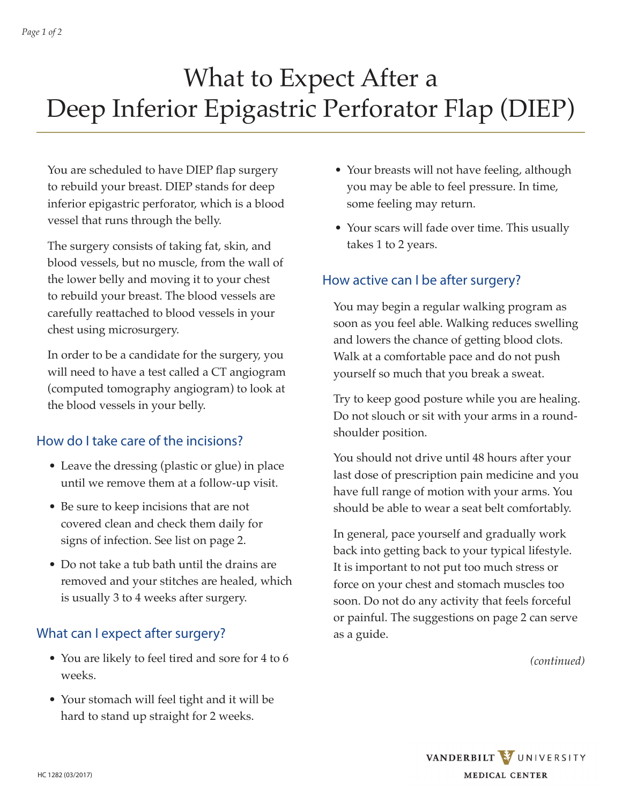# What to Expect After a Deep Inferior Epigastric Perforator Flap (DIEP)

You are scheduled to have DIEP flap surgery to rebuild your breast. DIEP stands for deep inferior epigastric perforator, which is a blood vessel that runs through the belly.

The surgery consists of taking fat, skin, and blood vessels, but no muscle, from the wall of the lower belly and moving it to your chest to rebuild your breast. The blood vessels are carefully reattached to blood vessels in your chest using microsurgery.

In order to be a candidate for the surgery, you will need to have a test called a CT angiogram (computed tomography angiogram) to look at the blood vessels in your belly.

## How do I take care of the incisions?

- Leave the dressing (plastic or glue) in place until we remove them at a follow-up visit.
- Be sure to keep incisions that are not covered clean and check them daily for signs of infection. See list on page 2.
- Do not take a tub bath until the drains are removed and your stitches are healed, which is usually 3 to 4 weeks after surgery.

## What can I expect after surgery?

- You are likely to feel tired and sore for 4 to 6 weeks.
- Your stomach will feel tight and it will be hard to stand up straight for 2 weeks.
- Your breasts will not have feeling, although you may be able to feel pressure. In time, some feeling may return.
- Your scars will fade over time. This usually takes 1 to 2 years.

# How active can I be after surgery?

You may begin a regular walking program as soon as you feel able. Walking reduces swelling and lowers the chance of getting blood clots. Walk at a comfortable pace and do not push yourself so much that you break a sweat.

Try to keep good posture while you are healing. Do not slouch or sit with your arms in a roundshoulder position.

You should not drive until 48 hours after your last dose of prescription pain medicine and you have full range of motion with your arms. You should be able to wear a seat belt comfortably.

In general, pace yourself and gradually work back into getting back to your typical lifestyle. It is important to not put too much stress or force on your chest and stomach muscles too soon. Do not do any activity that feels forceful or painful. The suggestions on page 2 can serve as a guide.

*(continued)*